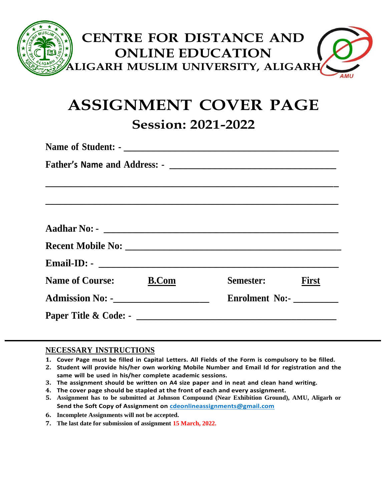

# **ASSIGNMENT COVER PAGE Session: 2021-2022**

| Semester: First       |  |
|-----------------------|--|
| <b>Enrolment No:-</b> |  |
|                       |  |
|                       |  |

#### **NECESSARY INSTRUCTIONS**

- 1. Cover Page must be filled in Capital Letters. All Fields of the Form is compulsory to be filled.
- **2. Student will provide his/her own working Mobile Number and Email Id for registration and the same will be used in his/her complete academic sessions.**
- **3. The assignment should be written on A4 size paper and in neat and clean hand writing.**
- **4. The cover page should be stapled at the front of each and every assignment.**
- **5. Assignment has to be submitted at Johnson Compound (Near Exhibition Ground), AMU, Aligarh or Send the Soft Copy of Assignment on [cdeonlineassignments@gmail.com](mailto:cdeonlineassignments@gmail.com)**
- **6. Incomplete Assignments will not be accepted.**
- **7. The last date for submission of assignment 15 March, 2022.**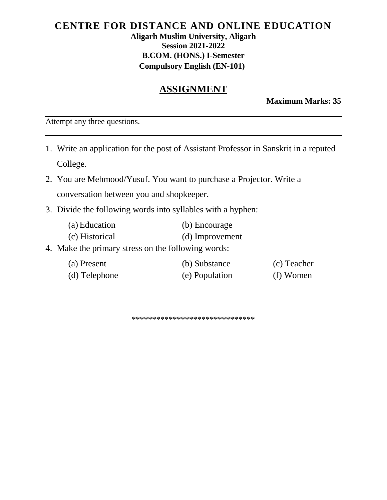#### **CENTRE FOR DISTANCE AND ONLINE EDUCATION Aligarh Muslim University, Aligarh Session 2021-2022 B.COM. (HONS.) I-Semester Compulsory English (EN-101)**

## **ASSIGNMENT**

**Maximum Marks: 35**

Attempt any three questions.

- 1. Write an application for the post of Assistant Professor in Sanskrit in a reputed College.
- 2. You are Mehmood/Yusuf. You want to purchase a Projector. Write a conversation between you and shopkeeper.
- 3. Divide the following words into syllables with a hyphen:
	- (a) Education (b) Encourage
	- (c) Historical (d) Improvement
- 4. Make the primary stress on the following words:

| (a) Present   | (b) Substance  | (c) Teacher |
|---------------|----------------|-------------|
| (d) Telephone | (e) Population | (f) Women   |

\*\*\*\*\*\*\*\*\*\*\*\*\*\*\*\*\*\*\*\*\*\*\*\*\*\*\*\*\*\*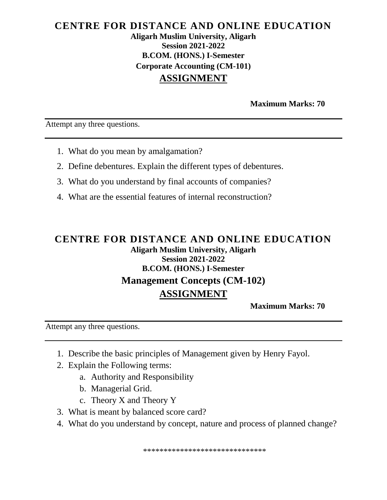#### **CENTRE FOR DISTANCE AND ONLINE EDUCATION Aligarh Muslim University, Aligarh Session 2021-2022 B.COM. (HONS.) I-Semester Corporate Accounting (CM-101) ASSIGNMENT**

**Maximum Marks: 70** 

Attempt any three questions.

- 1. What do you mean by amalgamation?
- 2. Define debentures. Explain the different types of debentures.
- 3. What do you understand by final accounts of companies?
- 4. What are the essential features of internal reconstruction?

## **CENTRE FOR DISTANCE AND ONLINE EDUCATION Aligarh Muslim University, Aligarh Session 2021-2022 B.COM. (HONS.) I-Semester Management Concepts (CM-102) ASSIGNMENT**

**Maximum Marks: 70** 

Attempt any three questions.

- 1. Describe the basic principles of Management given by Henry Fayol.
- 2. Explain the Following terms:
	- a. Authority and Responsibility
	- b. Managerial Grid.
	- c. Theory X and Theory Y
- 3. What is meant by balanced score card?
- 4. What do you understand by concept, nature and process of planned change?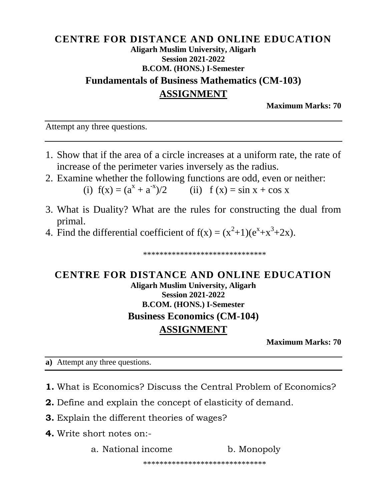## **CENTRE FOR DISTANCE AND ONLINE EDUCATION Aligarh Muslim University, Aligarh Session 2021-2022 B.COM.** (HONS.) I-Semester **Fundamentals of Business Mathematics (CM-103) ASSIGNMENT**

**Maximum Marks: 70** 

Attempt any three questions.

- 1. Show that if the area of a circle increases at a uniform rate, the rate of increase of the perimeter varies inversely as the radius.
- 2. Examine whether the following functions are odd, even or neither: (i)  $f(x) = (a^x + a^{-x})/2$  (ii)  $f(x) = \sin x + \cos x$
- 3. What is Duality? What are the rules for constructing the dual from primal.
- 4. Find the differential coefficient of  $f(x) = (x^2+1)(e^x + x^3 + 2x)$ .

\*\*\*\*\*\*\*\*\*\*\*\*\*\*\*\*\*\*\*\*\*\*\*\*\*\*\*\*\*\*\*

# CENTRE FOR DISTANCE AND ONLINE EDUCATION **Aligarh Muslim University, Aligarh Session 2021-2022 B.COM.** (HONS.) I-Semester **Business Economics (CM-104) ASSIGNMENT**

**Maximum Marks: 70** 

a) Attempt any three questions.

- 1. What is Economics? Discuss the Central Problem of Economics?
- **2.** Define and explain the concept of elasticity of demand.
- **3.** Explain the different theories of wages?
- 4. Write short notes on:-

a. National income b. Monopoly

\*\*\*\*\*\*\*\*\*\*\*\*\*\*\*\*\*\*\*\*\*\*\*\*\*\*\*\*\*\*